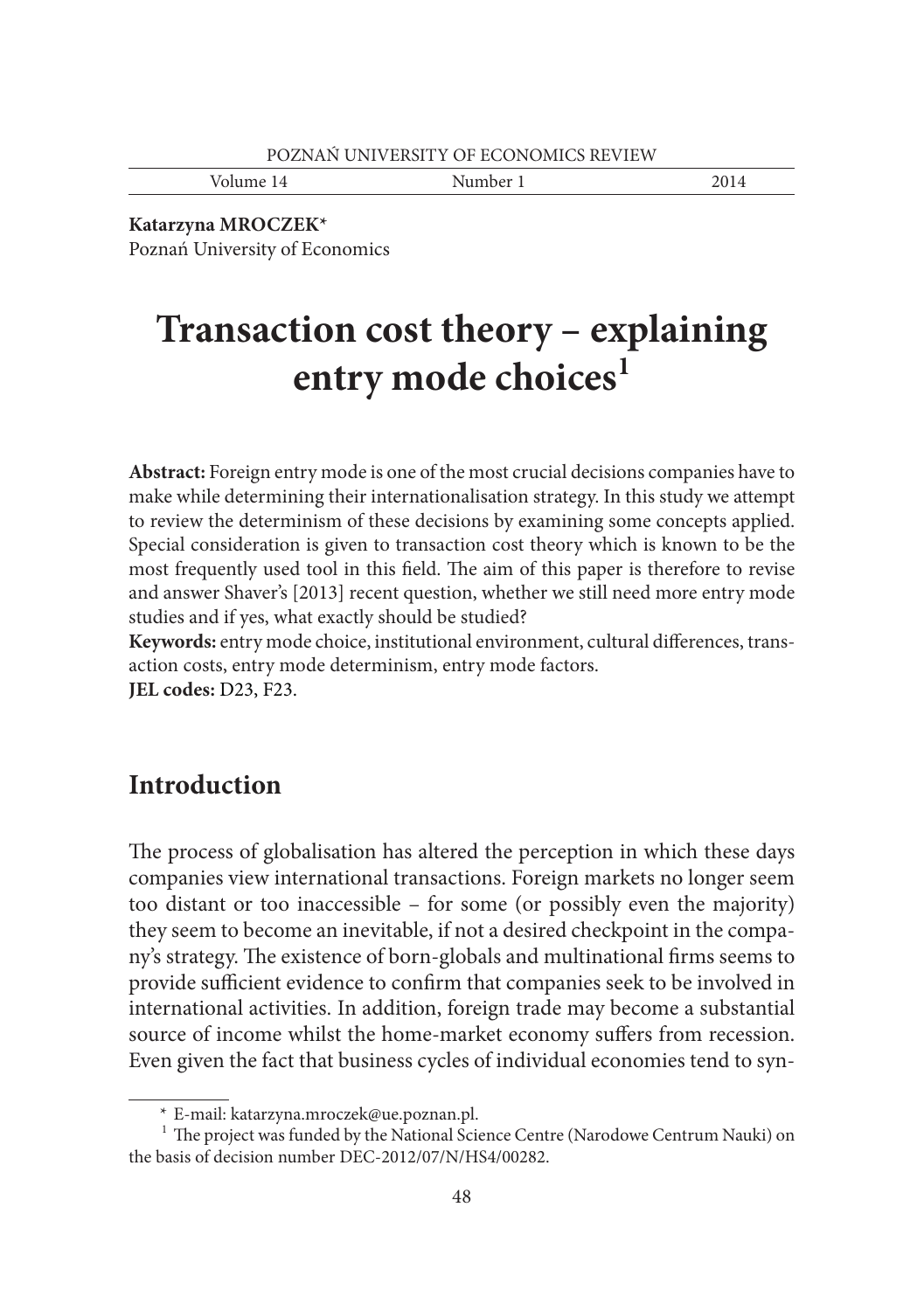Volume 14 Number 1 2014

**Katarzyna MROCZEK\***

Poznań University of Economics

# **Transaction cost theory – explaining entry mode choices1**

**Abstract:** Foreign entry mode is one of the most crucial decisions companies have to make while determining their internationalisation strategy. In this study we attempt to review the determinism of these decisions by examining some concepts applied. Special consideration is given to transaction cost theory which is known to be the most frequently used tool in this field. The aim of this paper is therefore to revise and answer Shaver's [2013] recent question, whether we still need more entry mode studies and if yes, what exactly should be studied?

Keywords: entry mode choice, institutional environment, cultural differences, transaction costs, entry mode determinism, entry mode factors.

**JEL codes:** D23, F23.

## **Introduction**

The process of globalisation has altered the perception in which these days companies view international transactions. Foreign markets no longer seem too distant or too inaccessible – for some (or possibly even the majority) they seem to become an inevitable, if not a desired checkpoint in the company's strategy. The existence of born-globals and multinational firms seems to provide sufficient evidence to confirm that companies seek to be involved in international activities. In addition, foreign trade may become a substantial source of income whilst the home-market economy suffers from recession. Even given the fact that business cycles of individual economies tend to syn-

 <sup>\*</sup> E-mail: katarzyna.mroczek@ue.poznan.pl.

 $1$  The project was funded by the National Science Centre (Narodowe Centrum Nauki) on the basis of decision number DEC-2012/07/N/HS4/00282.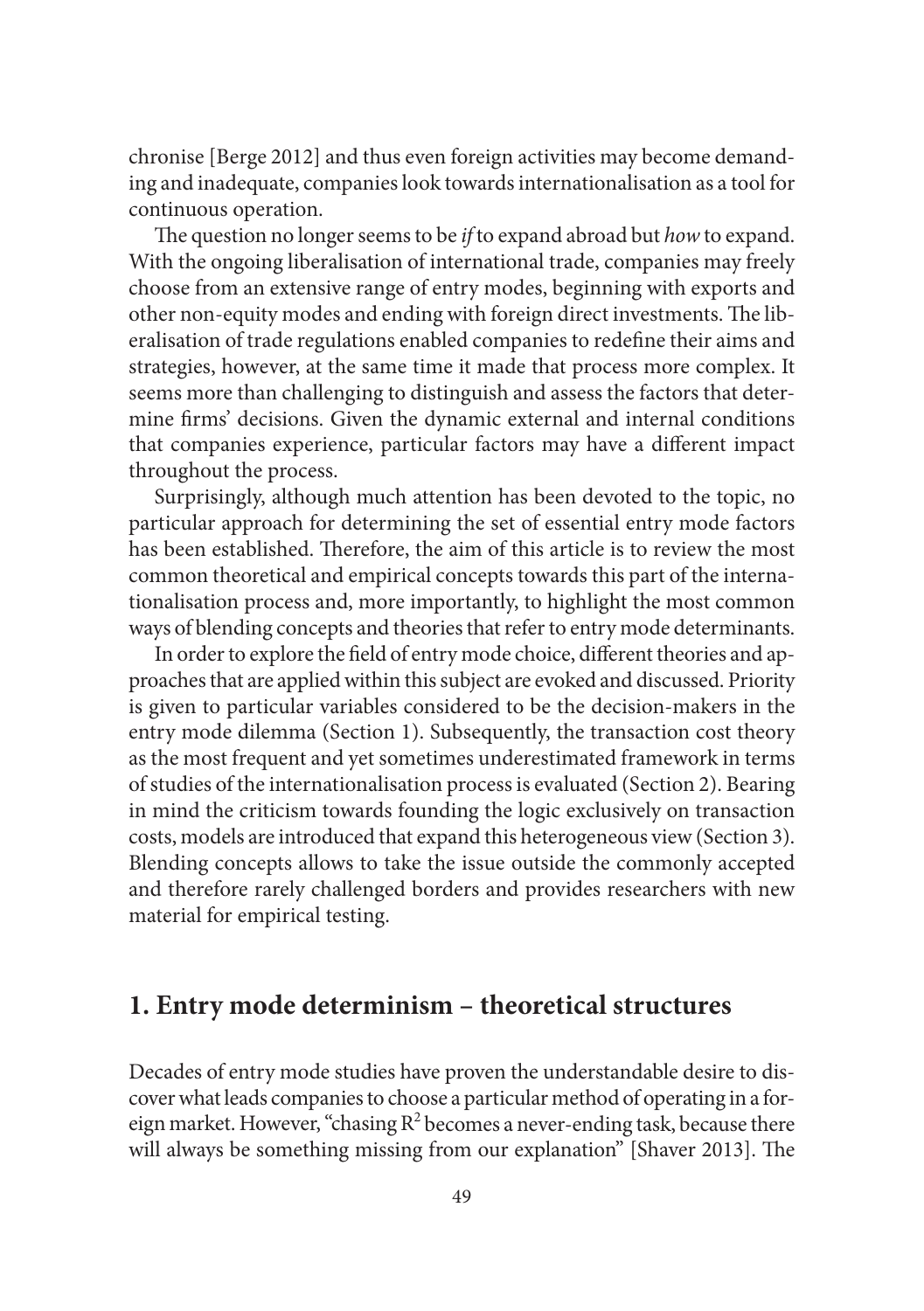chronise [Berge 2012] and thus even foreign activities may become demanding and inadequate, companies look towards internationalisation as a tool for continuous operation.

The question no longer seems to be *if* to expand abroad but *how* to expand. With the ongoing liberalisation of international trade, companies may freely choose from an extensive range of entry modes, beginning with exports and other non-equity modes and ending with foreign direct investments. The liberalisation of trade regulations enabled companies to redefine their aims and strategies, however, at the same time it made that process more complex. It seems more than challenging to distinguish and assess the factors that determine firms' decisions. Given the dynamic external and internal conditions that companies experience, particular factors may have a different impact throughout the process.

Surprisingly, although much attention has been devoted to the topic, no particular approach for determining the set of essential entry mode factors has been established. Therefore, the aim of this article is to review the most common theoretical and empirical concepts towards this part of the internationalisation process and, more importantly, to highlight the most common ways of blending concepts and theories that refer to entry mode determinants.

In order to explore the field of entry mode choice, different theories and approaches that are applied within this subject are evoked and discussed. Priority is given to particular variables considered to be the decision-makers in the entry mode dilemma (Section 1). Subsequently, the transaction cost theory as the most frequent and yet sometimes underestimated framework in terms of studies of the internationalisation process is evaluated (Section 2). Bearing in mind the criticism towards founding the logic exclusively on transaction costs, models are introduced that expand this heterogeneous view (Section 3). Blending concepts allows to take the issue outside the commonly accepted and therefore rarely challenged borders and provides researchers with new material for empirical testing.

### **1. Entry mode determinism – theoretical structures**

Decades of entry mode studies have proven the understandable desire to discover what leads companies to choose a particular method of operating in a foreign market. However, "chasing  $R^2$  becomes a never-ending task, because there will always be something missing from our explanation" [Shaver 2013]. The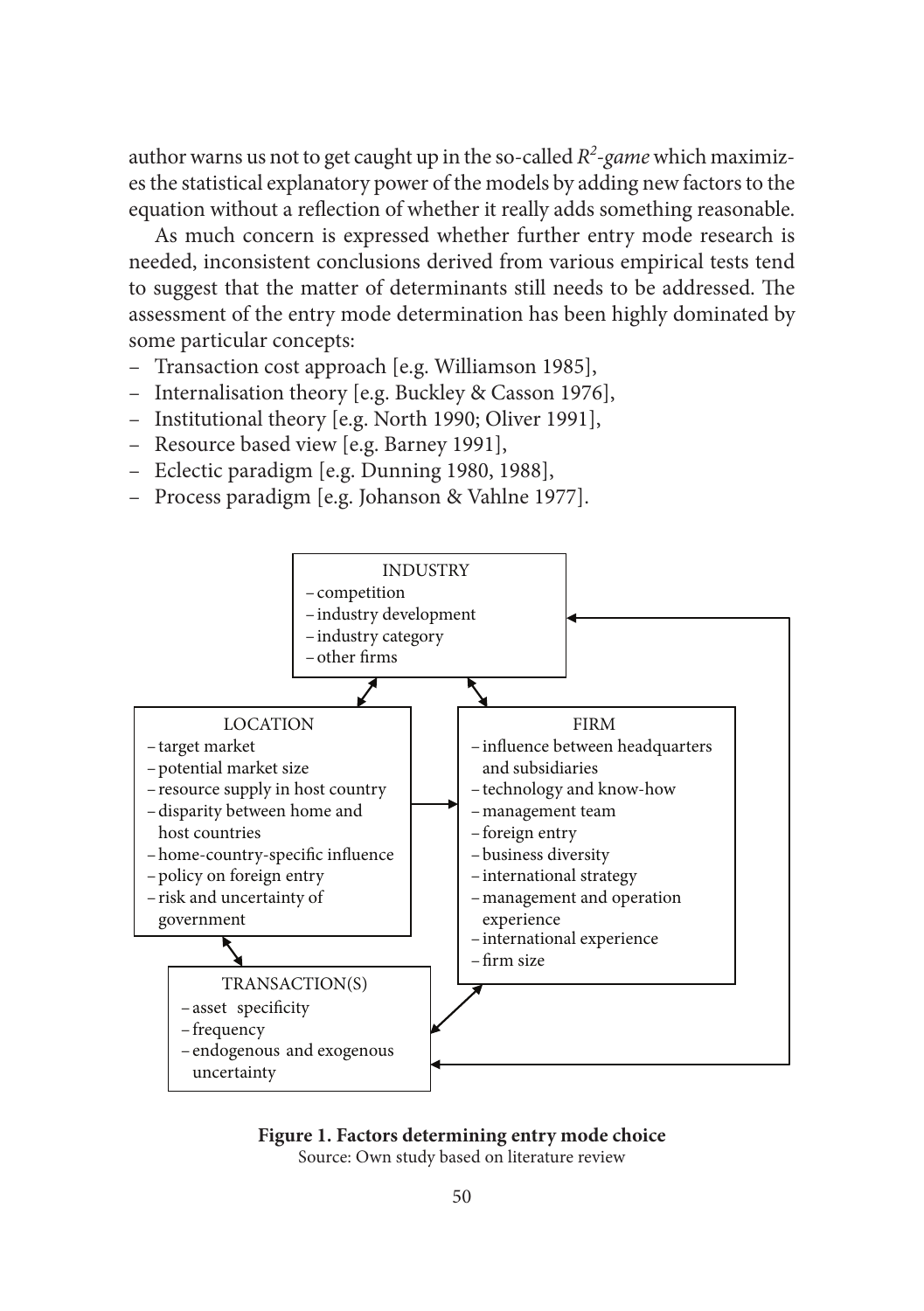author warns us not to get caught up in the so-called *R2 -game* which maximizes the statistical explanatory power of the models by adding new factors to the equation without a reflection of whether it really adds something reasonable.

As much concern is expressed whether further entry mode research is needed, inconsistent conclusions derived from various empirical tests tend to suggest that the matter of determinants still needs to be addressed. The assessment of the entry mode determination has been highly dominated by some particular concepts:

- Transaction cost approach [e.g. Williamson 1985],
- Internalisation theory [e.g. Buckley & Casson 1976],
- Institutional theory [e.g. North 1990; Oliver 1991],
- Resource based view [e.g. Barney 1991],
- Eclectic paradigm [e.g. Dunning 1980, 1988],
- Process paradigm [e.g. Johanson & Vahlne 1977].





Source: Own study based on literature review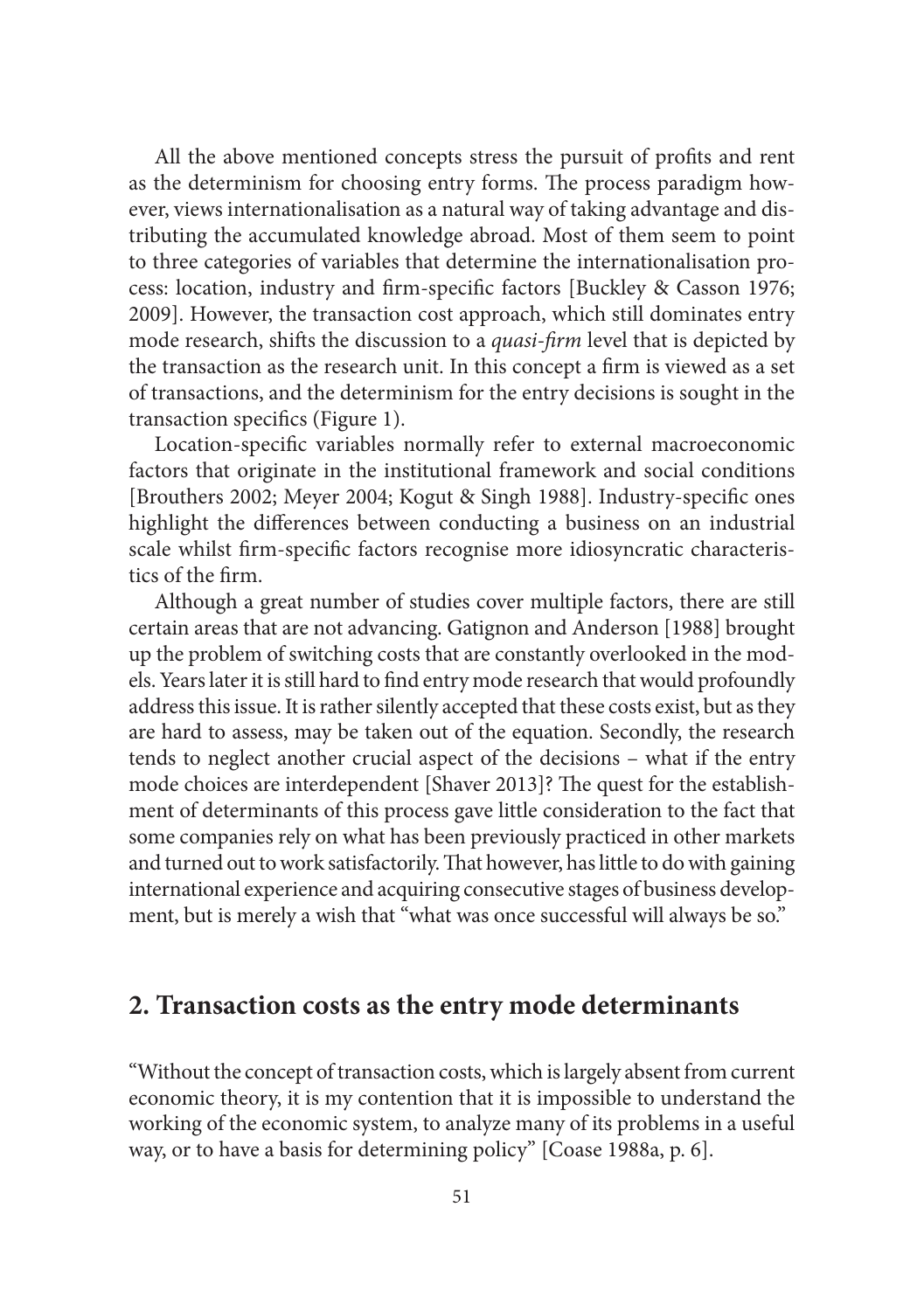All the above mentioned concepts stress the pursuit of profits and rent as the determinism for choosing entry forms. The process paradigm however, views internationalisation as a natural way of taking advantage and distributing the accumulated knowledge abroad. Most of them seem to point to three categories of variables that determine the internationalisation process: location, industry and firm-specific factors [Buckley & Casson 1976; 2009]. However, the transaction cost approach, which still dominates entry mode research, shifts the discussion to a *quasi-firm* level that is depicted by the transaction as the research unit. In this concept a firm is viewed as a set of transactions, and the determinism for the entry decisions is sought in the transaction specifics (Figure 1).

Location-specific variables normally refer to external macroeconomic factors that originate in the institutional framework and social conditions [Brouthers 2002; Meyer 2004; Kogut & Singh 1988]. Industry-specific ones highlight the differences between conducting a business on an industrial scale whilst firm-specific factors recognise more idiosyncratic characteristics of the firm.

Although a great number of studies cover multiple factors, there are still certain areas that are not advancing. Gatignon and Anderson [1988] brought up the problem of switching costs that are constantly overlooked in the models. Years later it is still hard to find entry mode research that would profoundly address this issue. It is rather silently accepted that these costs exist, but as they are hard to assess, may be taken out of the equation. Secondly, the research tends to neglect another crucial aspect of the decisions – what if the entry mode choices are interdependent [Shaver 2013]? The quest for the establishment of determinants of this process gave little consideration to the fact that some companies rely on what has been previously practiced in other markets and turned out to work satisfactorily. That however, has little to do with gaining international experience and acquiring consecutive stages of business development, but is merely a wish that "what was once successful will always be so."

### **2. Transaction costs as the entry mode determinants**

"Without the concept of transaction costs, which is largely absent from current economic theory, it is my contention that it is impossible to understand the working of the economic system, to analyze many of its problems in a useful way, or to have a basis for determining policy" [Coase 1988a, p. 6].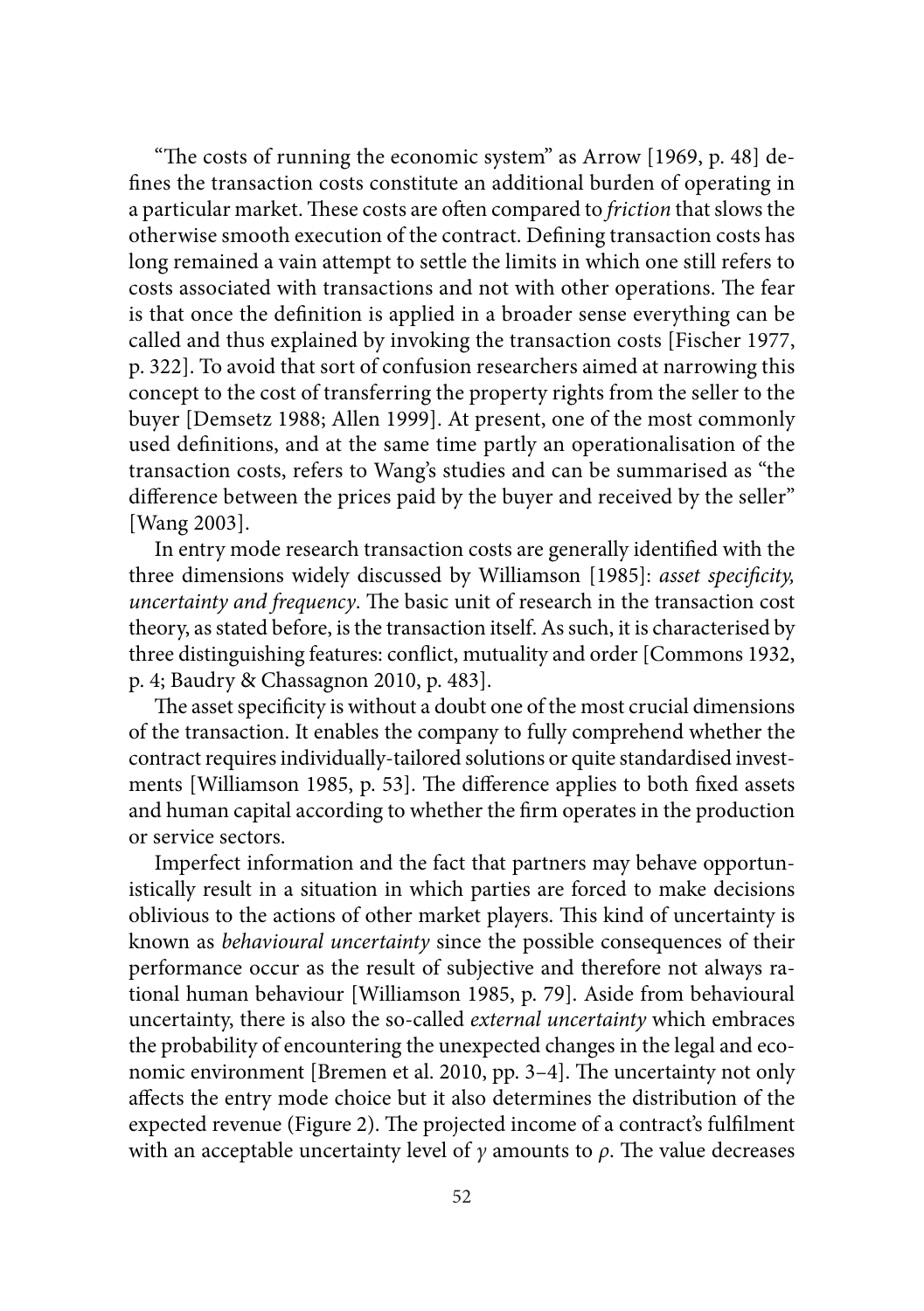"The costs of running the economic system" as Arrow  $[1969, p. 48]$  defines the transaction costs constitute an additional burden of operating in a particular market. These costs are often compared to *friction* that slows the otherwise smooth execution of the contract. Defining transaction costs has long remained a vain attempt to settle the limits in which one still refers to costs associated with transactions and not with other operations. The fear is that once the definition is applied in a broader sense everything can be called and thus explained by invoking the transaction costs [Fischer 1977, p. 322]. To avoid that sort of confusion researchers aimed at narrowing this concept to the cost of transferring the property rights from the seller to the buyer [Demsetz 1988; Allen 1999]. At present, one of the most commonly used definitions, and at the same time partly an operationalisation of the transaction costs, refers to Wang's studies and can be summarised as "the difference between the prices paid by the buyer and received by the seller" [Wang 2003].

In entry mode research transaction costs are generally identified with the three dimensions widely discussed by Williamson [1985]: *asset specificity*, *uncertainty and frequency*. The basic unit of research in the transaction cost theory, as stated before, is the transaction itself. As such, it is characterised by three distinguishing features: conflict, mutuality and order [Commons 1932, p. 4; Baudry & Chassagnon 2010, p. 483].

The asset specificity is without a doubt one of the most crucial dimensions of the transaction. It enables the company to fully comprehend whether the contract requires individually-tailored solutions or quite standardised investments [Williamson 1985, p. 53]. The difference applies to both fixed assets and human capital according to whether the firm operates in the production or service sectors.

Imperfect information and the fact that partners may behave opportunistically result in a situation in which parties are forced to make decisions oblivious to the actions of other market players. This kind of uncertainty is known as *behavioural uncertainty* since the possible consequences of their performance occur as the result of subjective and therefore not always rational human behaviour [Williamson 1985, p. 79]. Aside from behavioural uncertainty, there is also the so-called *external uncertainty* which embraces the probability of encountering the unexpected changes in the legal and economic environment [Bremen et al. 2010, pp. 3–4]. The uncertainty not only affects the entry mode choice but it also determines the distribution of the expected revenue (Figure 2). The projected income of a contract's fulfilment with an acceptable uncertainty level of  $\gamma$  amounts to  $\rho$ . The value decreases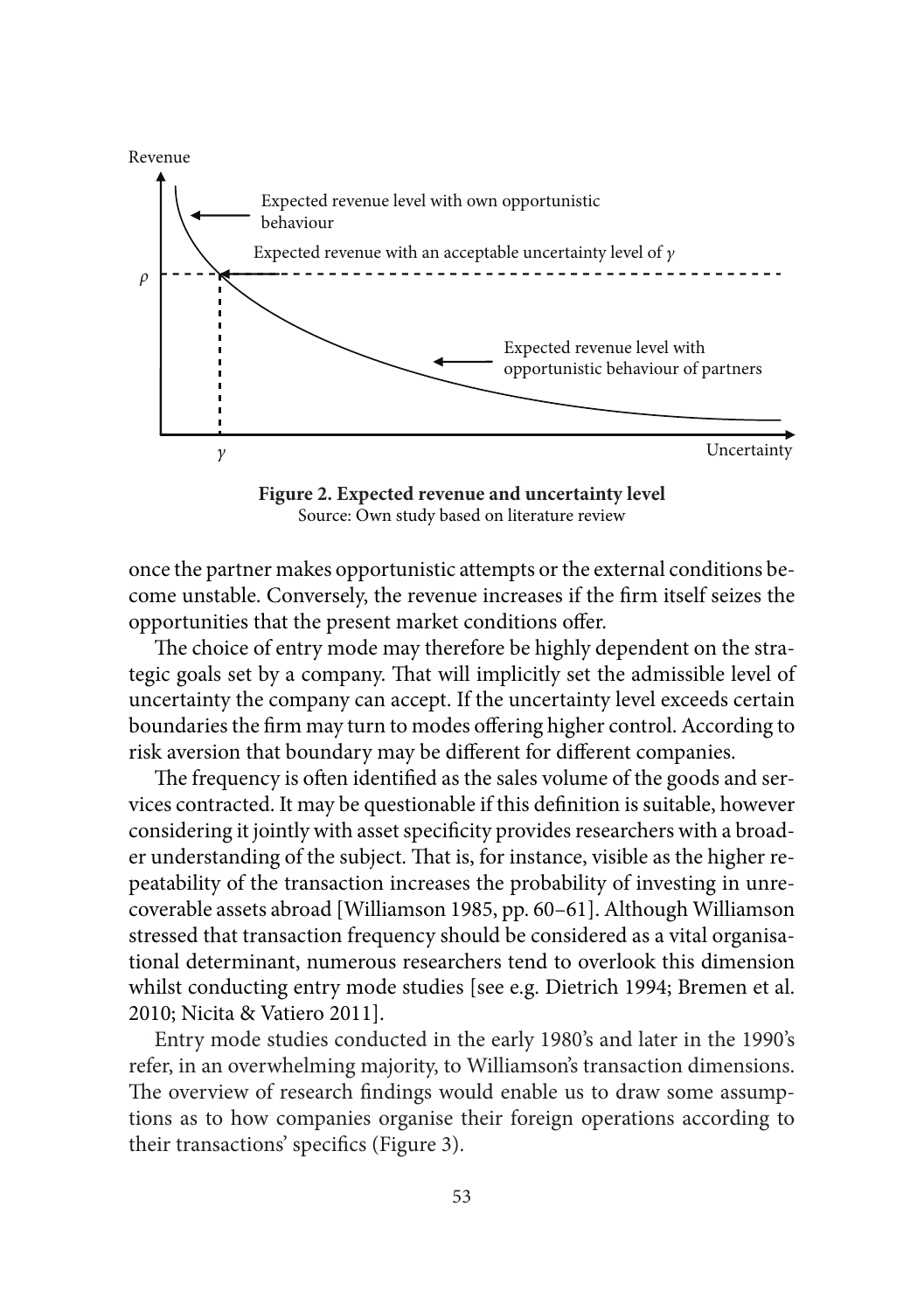

**Figure 2. Expected revenue and uncertainty level** Source: Own study based on literature review

once the partner makes opportunistic attempts or the external conditions become unstable. Conversely, the revenue increases if the firm itself seizes the opportunities that the present market conditions offer.

The choice of entry mode may therefore be highly dependent on the strategic goals set by a company. That will implicitly set the admissible level of uncertainty the company can accept. If the uncertainty level exceeds certain boundaries the firm may turn to modes offering higher control. According to risk aversion that boundary may be different for different companies.

The frequency is often identified as the sales volume of the goods and services contracted. It may be questionable if this definition is suitable, however considering it jointly with asset specificity provides researchers with a broader understanding of the subject. That is, for instance, visible as the higher repeatability of the transaction increases the probability of investing in unrecoverable assets abroad [Williamson 1985, pp. 60–61]. Although Williamson stressed that transaction frequency should be considered as a vital organisational determinant, numerous researchers tend to overlook this dimension whilst conducting entry mode studies [see e.g. Dietrich 1994; Bremen et al. 2010; Nicita & Vatiero 2011].

Entry mode studies conducted in the early 1980's and later in the 1990's refer, in an overwhelming majority, to Williamson's transaction dimensions. The overview of research findings would enable us to draw some assumptions as to how companies organise their foreign operations according to their transactions' specifics (Figure 3).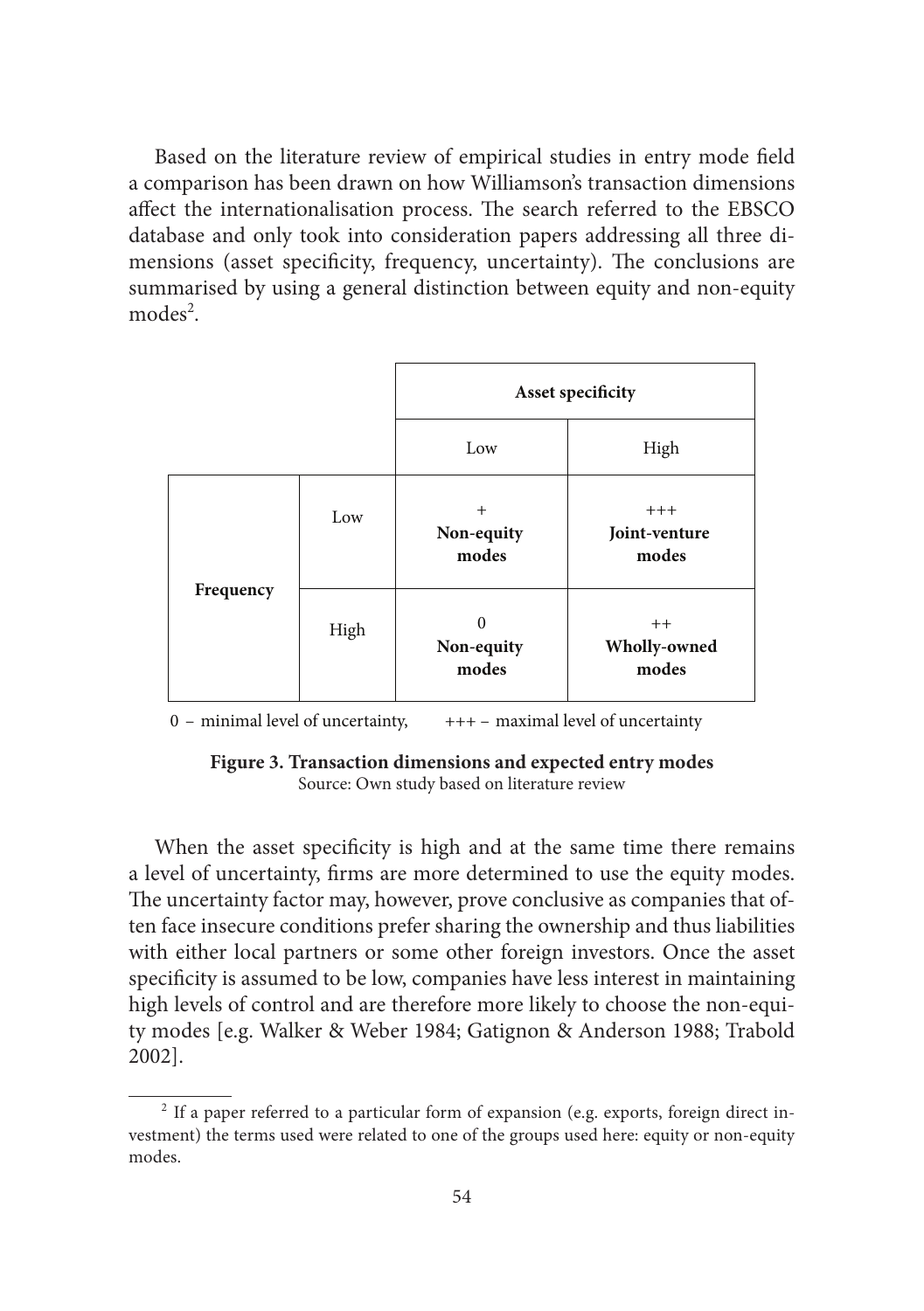Based on the literature review of empirical studies in entry mode field a comparison has been drawn on how Williamson's transaction dimensions affect the internationalisation process. The search referred to the EBSCO database and only took into consideration papers addressing all three dimensions (asset specificity, frequency, uncertainty). The conclusions are summarised by using a general distinction between equity and non-equity modes<sup>2</sup>.



 $0$  – minimal level of uncertainty,  $+++$  – maximal level of uncertainty

**Figure 3. Transaction dimensions and expected entry modes** Source: Own study based on literature review

When the asset specificity is high and at the same time there remains a level of uncertainty, firms are more determined to use the equity modes. The uncertainty factor may, however, prove conclusive as companies that often face insecure conditions prefer sharing the ownership and thus liabilities with either local partners or some other foreign investors. Once the asset specificity is assumed to be low, companies have less interest in maintaining high levels of control and are therefore more likely to choose the non-equity modes [e.g. Walker & Weber 1984; Gatignon & Anderson 1988; Trabold 2002].

 $2$  If a paper referred to a particular form of expansion (e.g. exports, foreign direct investment) the terms used were related to one of the groups used here: equity or non-equity modes.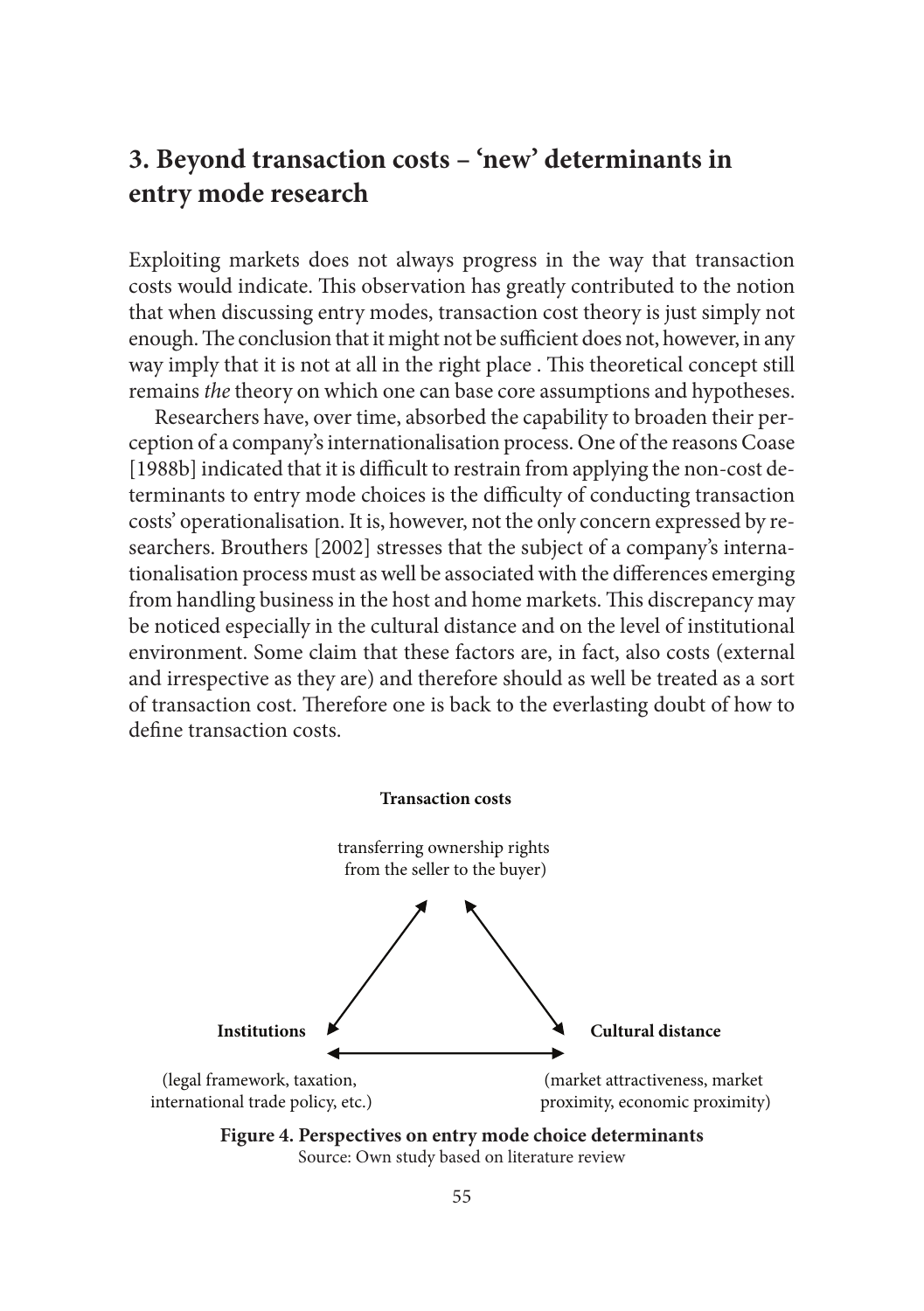# **3. Beyond transaction costs – 'new' determinants in entry mode research**

Exploiting markets does not always progress in the way that transaction costs would indicate. This observation has greatly contributed to the notion that when discussing entry modes, transaction cost theory is just simply not enough. The conclusion that it might not be sufficient does not, however, in any way imply that it is not at all in the right place. This theoretical concept still remains *the* theory on which one can base core assumptions and hypotheses.

Researchers have, over time, absorbed the capability to broaden their perception of a company's internationalisation process. One of the reasons Coase [1988b] indicated that it is difficult to restrain from applying the non-cost determinants to entry mode choices is the difficulty of conducting transaction costs' operationalisation. It is, however, not the only concern expressed by researchers. Brouthers [2002] stresses that the subject of a company's internationalisation process must as well be associated with the differences emerging from handling business in the host and home markets. This discrepancy may be noticed especially in the cultural distance and on the level of institutional environment. Some claim that these factors are, in fact, also costs (external and irrespective as they are) and therefore should as well be treated as a sort of transaction cost. Therefore one is back to the everlasting doubt of how to define transaction costs.



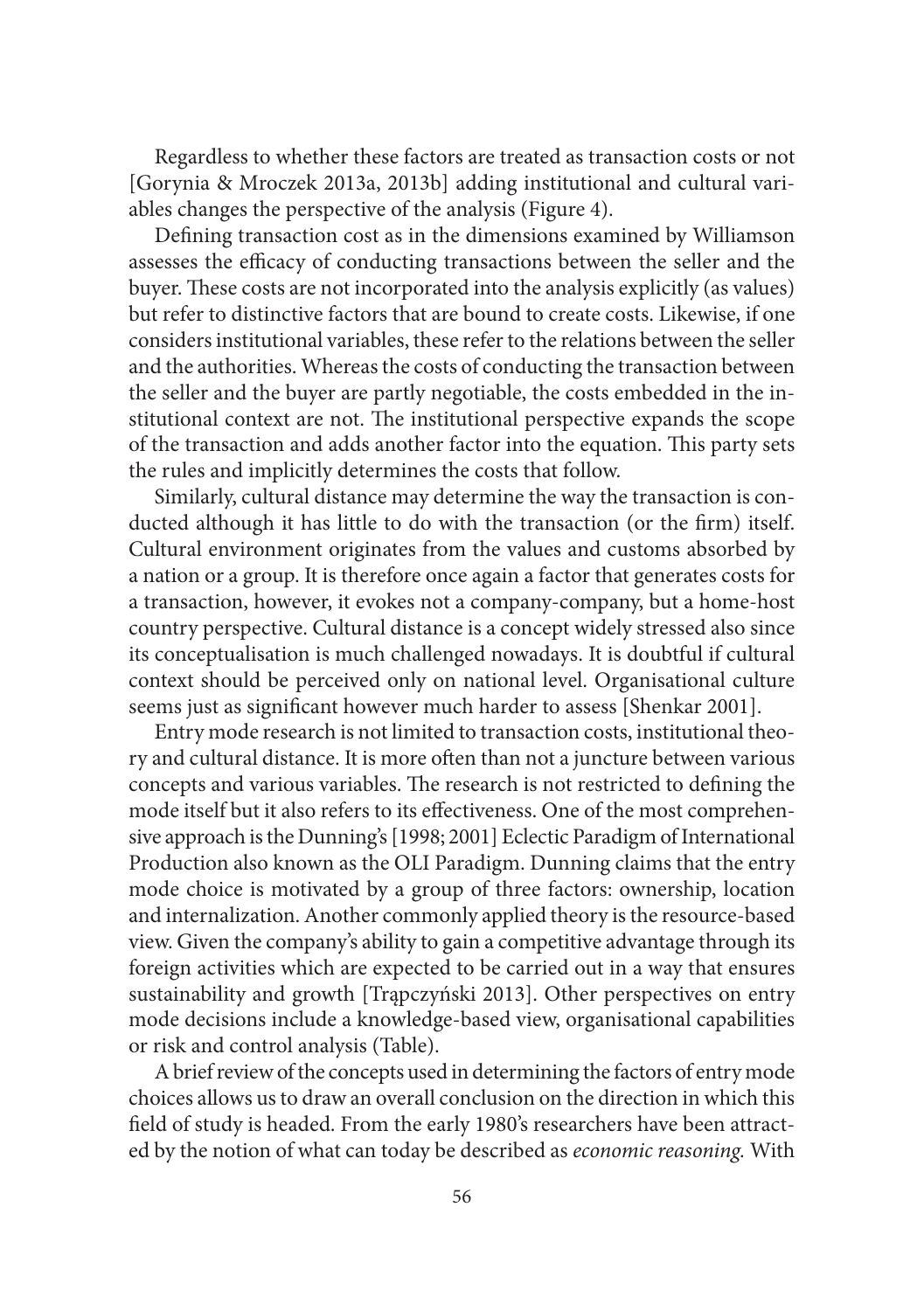Regardless to whether these factors are treated as transaction costs or not [Gorynia & Mroczek 2013a, 2013b] adding institutional and cultural variables changes the perspective of the analysis (Figure 4).

Defining transaction cost as in the dimensions examined by Williamson assesses the efficacy of conducting transactions between the seller and the buyer. These costs are not incorporated into the analysis explicitly (as values) but refer to distinctive factors that are bound to create costs. Likewise, if one considers institutional variables, these refer to the relations between the seller and the authorities. Whereas the costs of conducting the transaction between the seller and the buyer are partly negotiable, the costs embedded in the institutional context are not. The institutional perspective expands the scope of the transaction and adds another factor into the equation. This party sets the rules and implicitly determines the costs that follow.

Similarly, cultural distance may determine the way the transaction is conducted although it has little to do with the transaction (or the firm) itself. Cultural environment originates from the values and customs absorbed by a nation or a group. It is therefore once again a factor that generates costs for a transaction, however, it evokes not a company-company, but a home-host country perspective. Cultural distance is a concept widely stressed also since its conceptualisation is much challenged nowadays. It is doubtful if cultural context should be perceived only on national level. Organisational culture seems just as significant however much harder to assess [Shenkar 2001].

Entry mode research is not limited to transaction costs, institutional theory and cultural distance. It is more often than not a juncture between various concepts and various variables. The research is not restricted to defining the mode itself but it also refers to its effectiveness. One of the most comprehensive approach is the Dunning's [1998; 2001] Eclectic Paradigm of International Production also known as the OLI Paradigm. Dunning claims that the entry mode choice is motivated by a group of three factors: ownership, location and internalization. Another commonly applied theory is the resource-based view. Given the company's ability to gain a competitive advantage through its foreign activities which are expected to be carried out in a way that ensures sustainability and growth [Trąpczyński 2013]. Other perspectives on entry mode decisions include a knowledge-based view, organisational capabilities or risk and control analysis (Table).

A brief review of the concepts used in determining the factors of entry mode choices allows us to draw an overall conclusion on the direction in which this field of study is headed. From the early 1980's researchers have been attracted by the notion of what can today be described as *economic reasoning.* With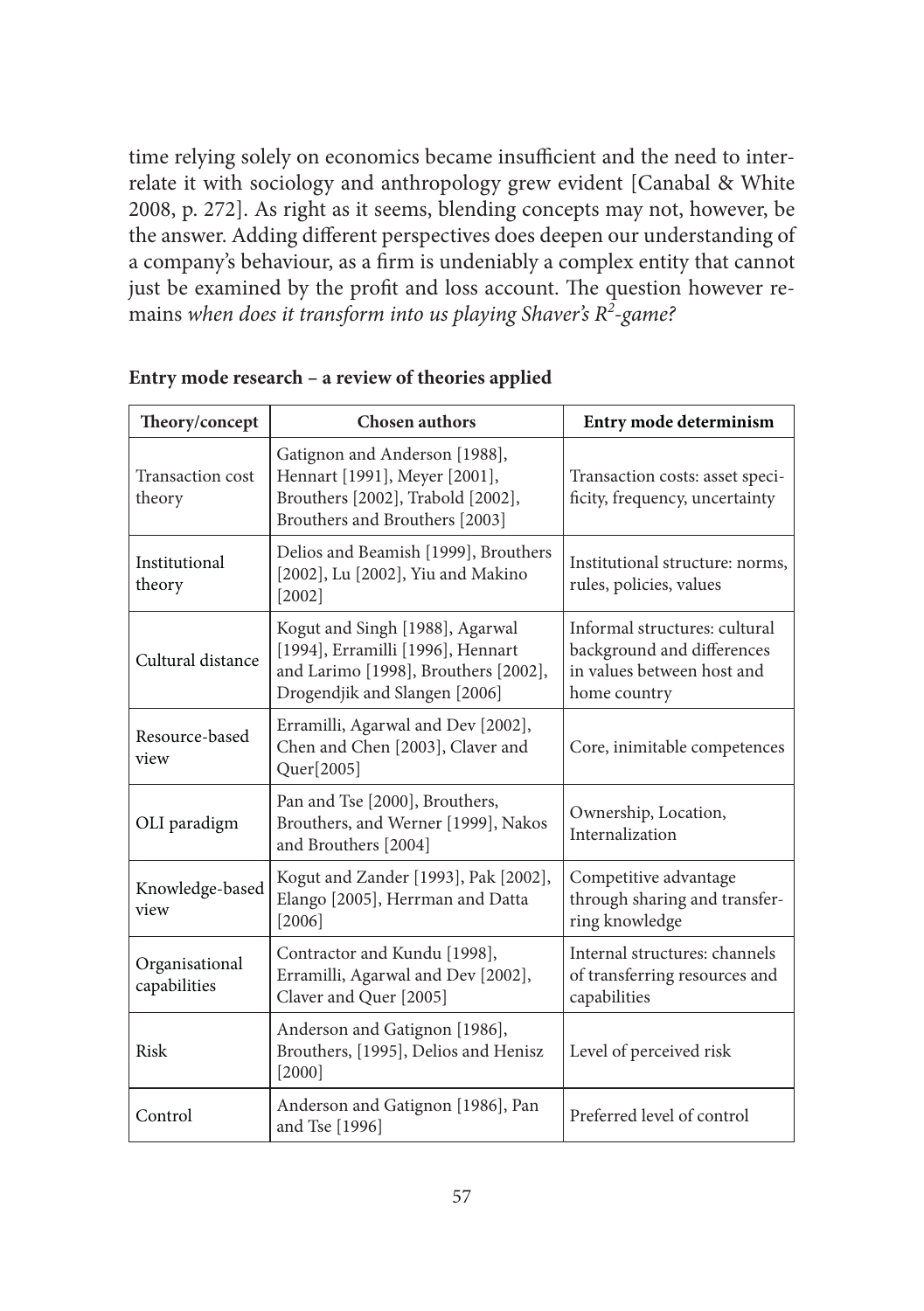time relying solely on economics became insufficient and the need to interrelate it with sociology and anthropology grew evident [Canabal & White 2008, p. 272]. As right as it seems, blending concepts may not, however, be the answer. Adding different perspectives does deepen our understanding of a company's behaviour, as a firm is undeniably a complex entity that cannot just be examined by the profit and loss account. The question however remains *when does it transform into us playing Shaver's R2 -game?*

| Theory/concept                    | <b>Chosen authors</b>                                                                                                                         | Entry mode determinism                                                                                    |
|-----------------------------------|-----------------------------------------------------------------------------------------------------------------------------------------------|-----------------------------------------------------------------------------------------------------------|
| <b>Transaction cost</b><br>theory | Gatignon and Anderson [1988],<br>Hennart [1991], Meyer [2001],<br>Brouthers [2002], Trabold [2002],<br>Brouthers and Brouthers [2003]         | Transaction costs: asset speci-<br>ficity, frequency, uncertainty                                         |
| Institutional<br>theory           | Delios and Beamish [1999], Brouthers<br>[2002], Lu [2002], Yiu and Makino<br>$[2002]$                                                         | Institutional structure: norms,<br>rules, policies, values                                                |
| Cultural distance                 | Kogut and Singh [1988], Agarwal<br>[1994], Erramilli [1996], Hennart<br>and Larimo [1998], Brouthers [2002],<br>Drogendjik and Slangen [2006] | Informal structures: cultural<br>background and differences<br>in values between host and<br>home country |
| Resource-based<br>view            | Erramilli, Agarwal and Dev [2002],<br>Chen and Chen [2003], Claver and<br>Quer[2005]                                                          | Core, inimitable competences                                                                              |
| OLI paradigm                      | Pan and Tse [2000], Brouthers,<br>Brouthers, and Werner [1999], Nakos<br>and Brouthers [2004]                                                 | Ownership, Location,<br>Internalization                                                                   |
| Knowledge-based<br>view           | Kogut and Zander [1993], Pak [2002],<br>Elango [2005], Herrman and Datta<br>[2006]                                                            | Competitive advantage<br>through sharing and transfer-<br>ring knowledge                                  |
| Organisational<br>capabilities    | Contractor and Kundu [1998],<br>Erramilli, Agarwal and Dev [2002],<br>Claver and Quer [2005]                                                  | Internal structures: channels<br>of transferring resources and<br>capabilities                            |
| Risk                              | Anderson and Gatignon [1986],<br>Brouthers, [1995], Delios and Henisz<br>$[2000]$                                                             | Level of perceived risk                                                                                   |
| Control                           | Anderson and Gatignon [1986], Pan<br>and Tse [1996]                                                                                           | Preferred level of control                                                                                |

#### **Entry mode research – a review of theories applied**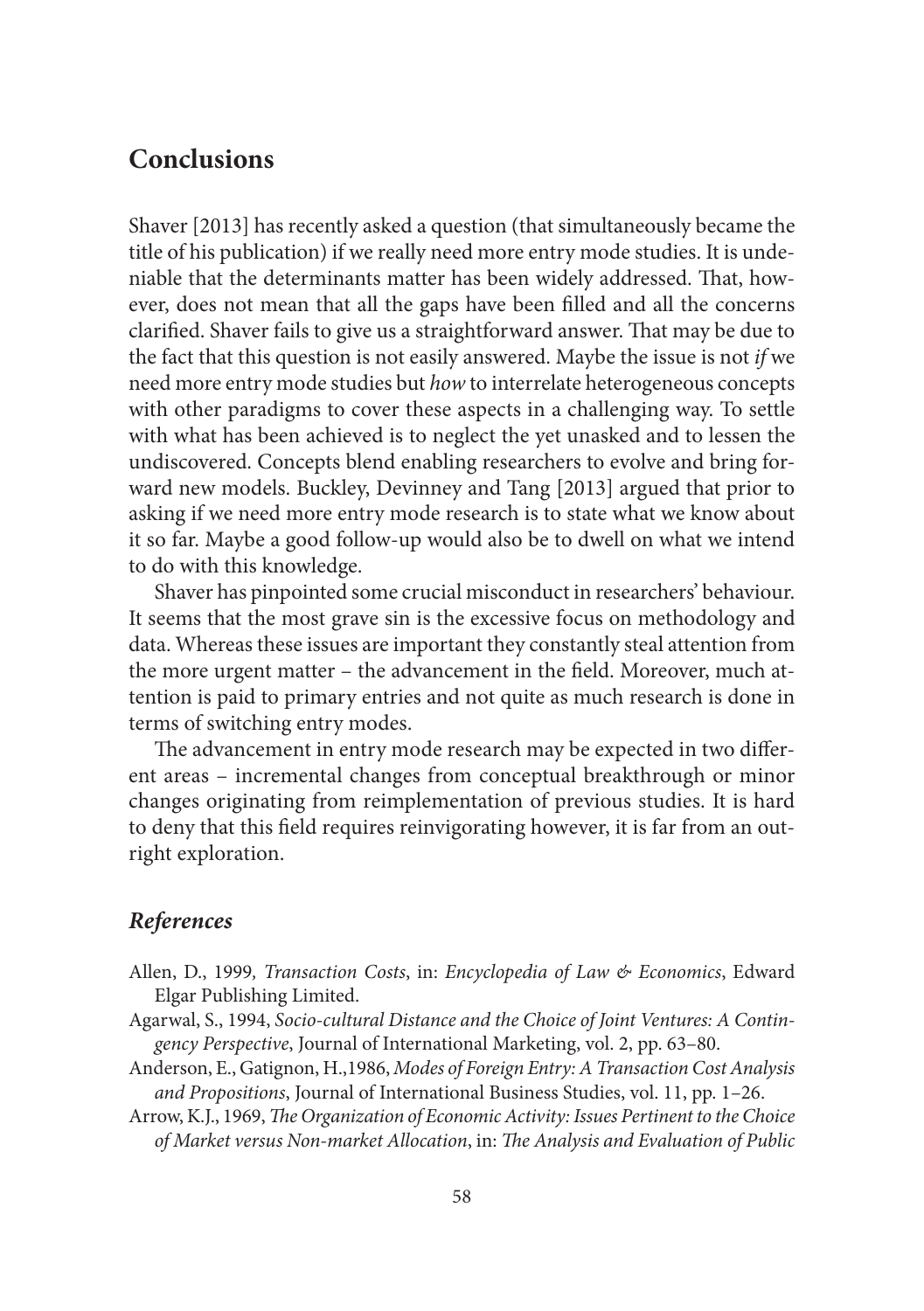## **Conclusions**

Shaver [2013] has recently asked a question (that simultaneously became the title of his publication) if we really need more entry mode studies. It is undeniable that the determinants matter has been widely addressed. That, however, does not mean that all the gaps have been filled and all the concerns clarified. Shaver fails to give us a straightforward answer. That may be due to the fact that this question is not easily answered. Maybe the issue is not *if* we need more entry mode studies but *how* to interrelate heterogeneous concepts with other paradigms to cover these aspects in a challenging way. To settle with what has been achieved is to neglect the yet unasked and to lessen the undiscovered. Concepts blend enabling researchers to evolve and bring forward new models. Buckley, Devinney and Tang [2013] argued that prior to asking if we need more entry mode research is to state what we know about it so far. Maybe a good follow-up would also be to dwell on what we intend to do with this knowledge.

Shaver has pinpointed some crucial misconduct in researchers' behaviour. It seems that the most grave sin is the excessive focus on methodology and data. Whereas these issues are important they constantly steal attention from the more urgent matter – the advancement in the field. Moreover, much attention is paid to primary entries and not quite as much research is done in terms of switching entry modes.

The advancement in entry mode research may be expected in two different areas – incremental changes from conceptual breakthrough or minor changes originating from reimplementation of previous studies. It is hard to deny that this field requires reinvigorating however, it is far from an outright exploration.

### *References*

- Allen, D., 1999*, Transaction Costs*, in: *Encyclopedia of Law & Economics*, Edward Elgar Publishing Limited.
- Agarwal, S., 1994, *Socio-cultural Distance and the Choice of Joint Ventures: A Contingency Perspective*, Journal of International Marketing, vol. 2, pp. 63–80.
- Anderson, E., Gatignon, H.,1986, *Modes of Foreign Entry: A Transaction Cost Analysis and Propositions*, Journal of International Business Studies, vol. 11, pp. 1–26.
- Arrow, K.J., 1969, *The Organization of Economic Activity: Issues Pertinent to the Choice* of Market versus Non-market Allocation, in: The Analysis and Evaluation of Public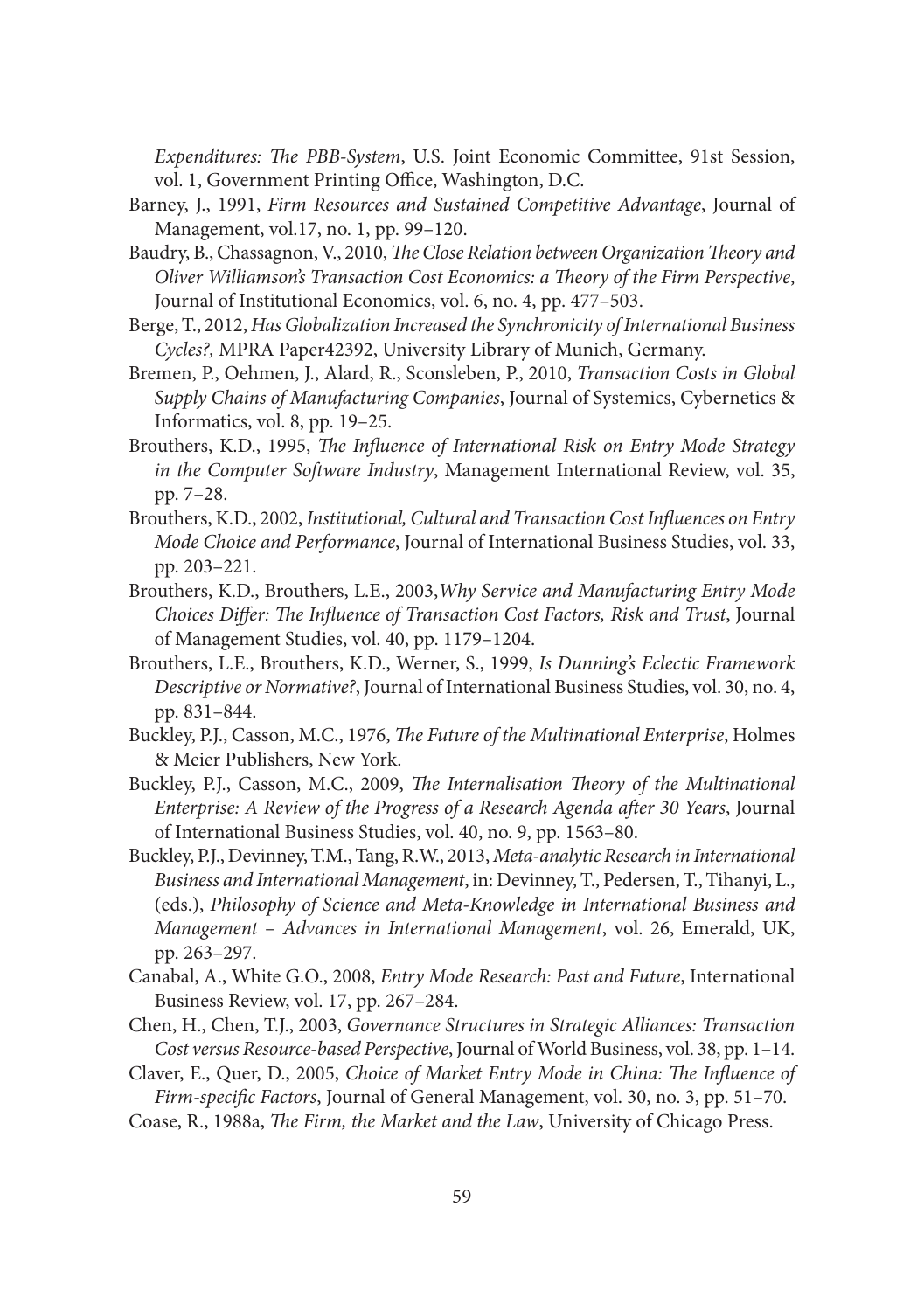*Expenditures: The PBB-System, U.S. Joint Economic Committee, 91st Session,* vol. 1, Government Printing Office, Washington, D.C.

- Barney, J., 1991, *Firm Resources and Sustained Competitive Advantage*, Journal of Management, vol.17, no. 1, pp. 99–120.
- Baudry, B., Chassagnon, V., 2010, *The Close Relation between Organization Theory and Oliver Williamson's Transaction Cost Economics: a Th eory of the Firm Perspective*, Journal of Institutional Economics, vol. 6, no. 4, pp. 477–503.
- Berge, T., 2012, *Has Globalization Increased the Synchronicity of International Business Cycles?,* MPRA Paper42392, University Library of Munich, Germany.
- Bremen, P., Oehmen, J., Alard, R., Sconsleben, P., 2010, *Transaction Costs in Global Supply Chains of Manufacturing Companies*, Journal of Systemics, Cybernetics & Informatics, vol. 8, pp. 19–25.
- Brouthers, K.D., 1995, *The Influence of International Risk on Entry Mode Strategy in the Computer Software Industry*, Management International Review, vol. 35, pp. 7–28.
- Brouthers, K.D., 2002, *Institutional, Cultural and Transaction Cost Influences on Entry Mode Choice and Performance*, Journal of International Business Studies, vol. 33, pp. 203–221.
- Brouthers, K.D., Brouthers, L.E., 2003,*Why Service and Manufacturing Entry Mode Choices Differ: The Influence of Transaction Cost Factors, Risk and Trust, Journal* of Management Studies, vol. 40, pp. 1179–1204.
- Brouthers, L.E., Brouthers, K.D., Werner, S., 1999, *Is Dunning's Eclectic Framework Descriptive or Normative?*, Journal of International Business Studies, vol. 30, no. 4, pp. 831–844.
- Buckley, P.J., Casson, M.C., 1976, *The Future of the Multinational Enterprise*, Holmes & Meier Publishers, New York.
- Buckley, P.J., Casson, M.C., 2009, *The Internalisation Theory of the Multinational Enterprise: A Review of the Progress of a Research Agenda after 30 Years, Journal* of International Business Studies, vol. 40, no. 9, pp. 1563–80.
- Buckley, P.J., Devinney, T.M., Tang, R.W., 2013, *Meta-analytic Research in International Business and International Management*, in: Devinney, T., Pedersen, T., Tihanyi, L., (eds.), *Philosophy of Science and Meta-Knowledge in International Business and Management* – *Advances in International Management*, vol. 26, Emerald, UK, pp. 263–297.
- Canabal, A., White G.O., 2008, *Entry Mode Research: Past and Future*, International Business Review, vol. 17, pp. 267–284.
- Chen, H., Chen, T.J., 2003, *Governance Structures in Strategic Alliances: Transaction Cost versus Resource-based Perspective*, Journal of World Business, vol. 38, pp. 1–14.
- Claver, E., Quer, D., 2005, *Choice of Market Entry Mode in China: The Influence of Firm-specific Factors*, Journal of General Management, vol. 30, no. 3, pp. 51-70.
- Coase, R., 1988a, *The Firm, the Market and the Law*, University of Chicago Press.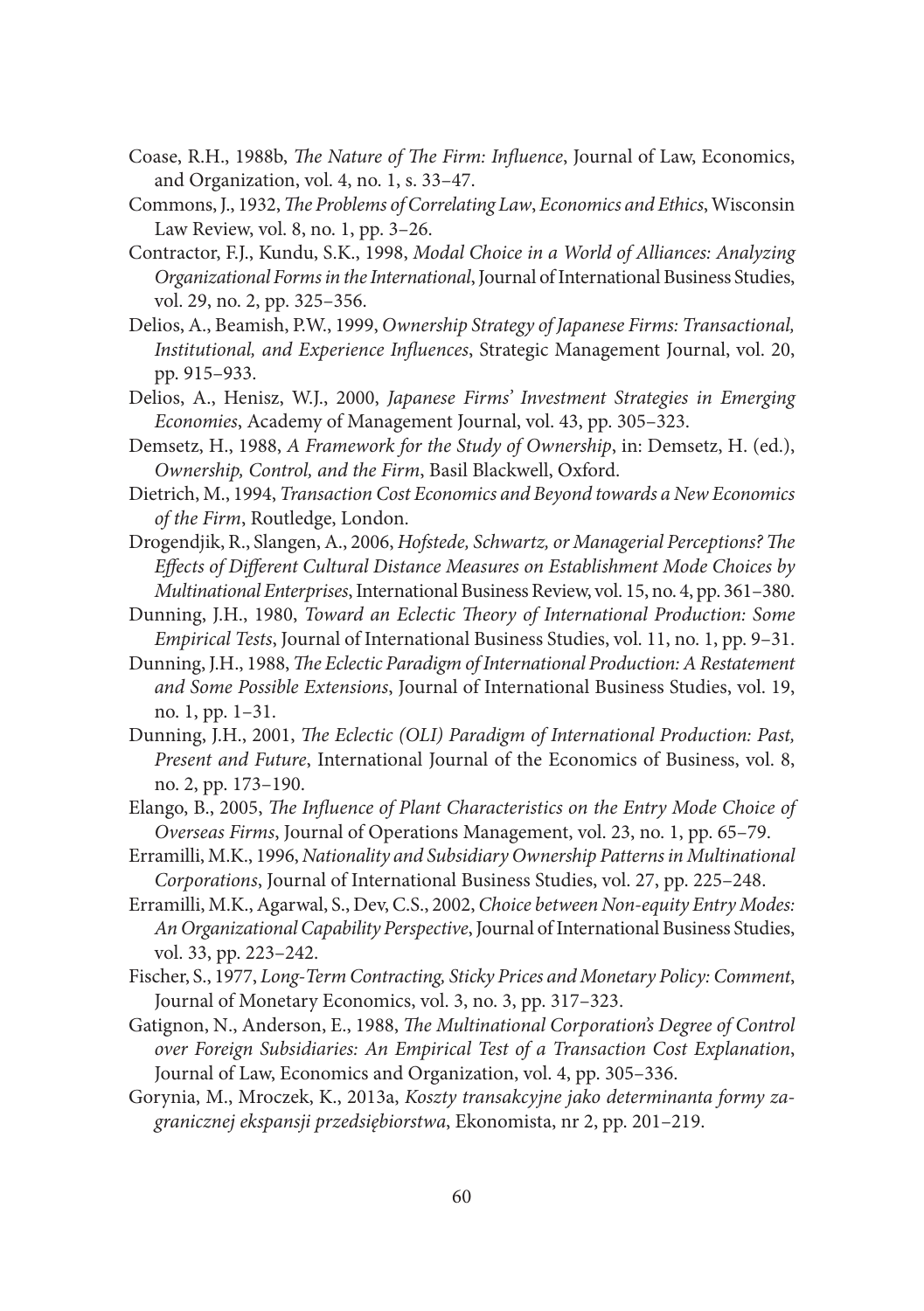- Coase, R.H., 1988b, *The Nature of The Firm: Influence*, Journal of Law, Economics, and Organization, vol. 4, no. 1, s. 33–47.
- Commons, J., 1932, *The Problems of Correlating Law*, *Economics and Ethics*, Wisconsin Law Review, vol. 8, no. 1, pp. 3–26.
- Contractor, F.J., Kundu, S.K., 1998, *Modal Choice in a World of Alliances: Analyzing Organizational Forms in the International*, Journal of International Business Studies, vol. 29, no. 2, pp. 325–356.
- Delios, A., Beamish, P.W., 1999, *Ownership Strategy of Japanese Firms: Transactional, Institutional, and Experience Infl uences*, Strategic Management Journal, vol. 20, pp. 915–933.
- Delios, A., Henisz, W.J., 2000, *Japanese Firms' Investment Strategies in Emerging Economies*, Academy of Management Journal, vol. 43, pp. 305–323.
- Demsetz, H., 1988, *A Framework for the Study of Ownership*, in: Demsetz, H. (ed.), *Ownership, Control, and the Firm*, Basil Blackwell, Oxford.
- Dietrich, M., 1994, *Transaction Cost Economics and Beyond towards a New Economics of the Firm*, Routledge, London.
- Drogendjik, R., Slangen, A., 2006, *Hofstede, Schwartz, or Managerial Perceptions? The Effects of Different Cultural Distance Measures on Establishment Mode Choices by Multinational Enterprises*, International Business Review, vol. 15, no. 4, pp. 361–380.
- Dunning, J.H., 1980, *Toward an Eclectic Theory of International Production: Some Empirical Tests*, Journal of International Business Studies, vol. 11, no. 1, pp. 9–31.
- Dunning, J.H., 1988, *The Eclectic Paradigm of International Production: A Restatement and Some Possible Extensions*, Journal of International Business Studies, vol. 19, no. 1, pp. 1–31.
- Dunning, J.H., 2001, *The Eclectic (OLI) Paradigm of International Production: Past, Present and Future*, International Journal of the Economics of Business, vol. 8, no. 2, pp. 173–190.
- Elango, B., 2005, *The Influence of Plant Characteristics on the Entry Mode Choice of Overseas Firms*, Journal of Operations Management, vol. 23, no. 1, pp. 65–79.
- Erramilli, M.K., 1996, *Nationality and Subsidiary Ownership Patterns in Multinational Corporations*, Journal of International Business Studies, vol. 27, pp. 225–248.
- Erramilli, M.K., Agarwal, S., Dev, C.S., 2002, *Choice between Non-equity Entry Modes: An Organizational Capability Perspective*, Journal of International Business Studies, vol. 33, pp. 223–242.
- Fischer, S., 1977, *Long-Term Contracting, Sticky Prices and Monetary Policy: Comment*, Journal of Monetary Economics, vol. 3, no. 3, pp. 317–323.
- Gatignon, N., Anderson, E., 1988, *The Multinational Corporation's Degree of Control over Foreign Subsidiaries: An Empirical Test of a Transaction Cost Explanation*, Journal of Law, Economics and Organization, vol. 4, pp. 305–336.
- Gorynia, M., Mroczek, K., 2013a, *Koszty transakcyjne jako determinanta formy zagranicznej ekspansji przedsiębiorstwa*, Ekonomista, nr 2, pp. 201–219.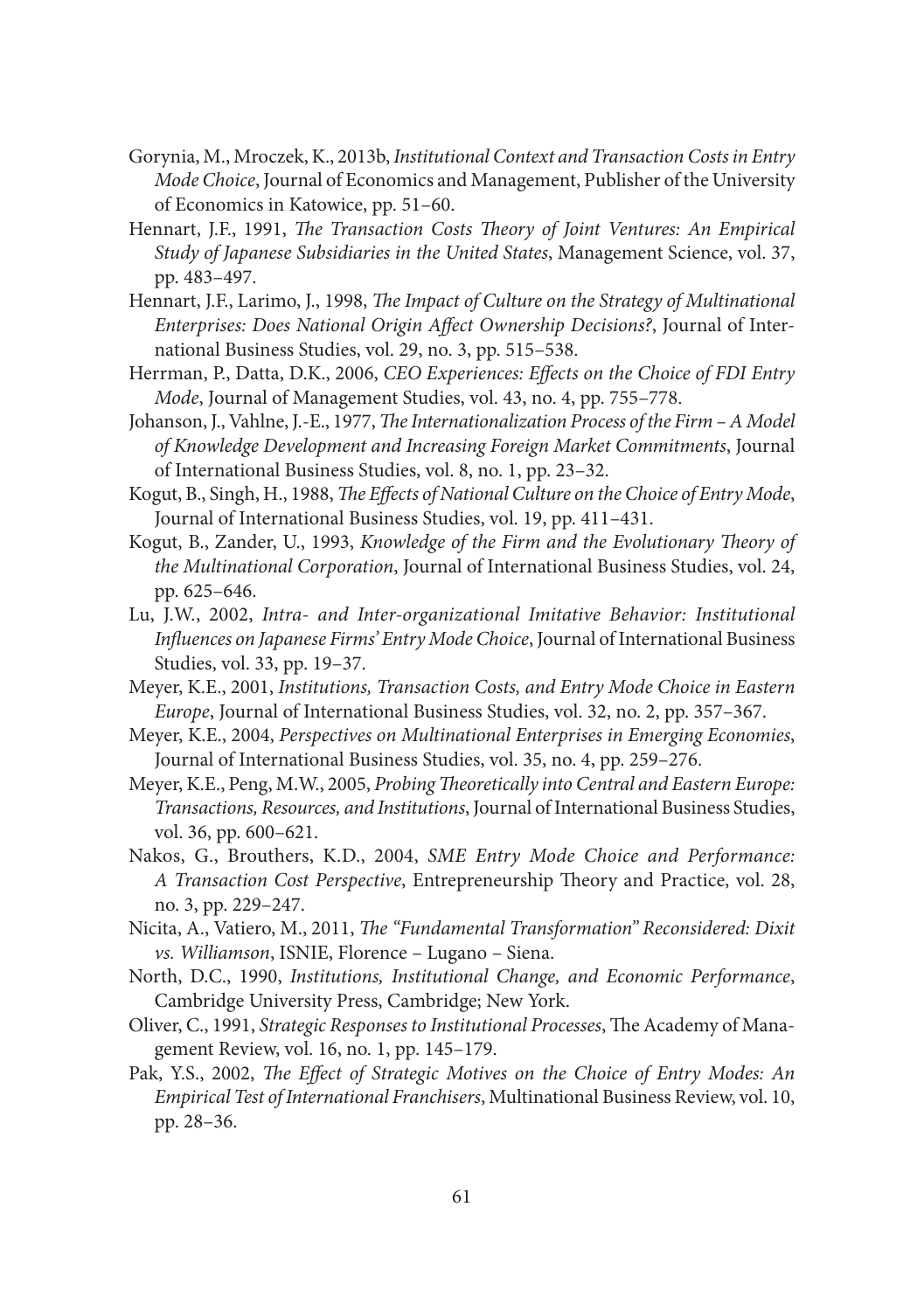- Gorynia, M., Mroczek, K., 2013b, *Institutional Context and Transaction Costs in Entry Mode Choice*, Journal of Economics and Management, Publisher of the University of Economics in Katowice, pp. 51–60.
- Hennart, J.F., 1991, *The Transaction Costs Theory of Joint Ventures: An Empirical Study of Japanese Subsidiaries in the United States*, Management Science, vol. 37, pp. 483–497.
- Hennart, J.F., Larimo, J., 1998, *The Impact of Culture on the Strategy of Multinational Enterprises: Does National Origin Affect Ownership Decisions?*, Journal of International Business Studies, vol. 29, no. 3, pp. 515–538.
- Herrman, P., Datta, D.K., 2006, *CEO Experiences: Effects on the Choice of FDI Entry Mode*, Journal of Management Studies, vol. 43, no. 4, pp. 755–778.
- Johanson, J., Vahlne, J.-E., 1977, *The Internationalization Process of the Firm A Model of Knowledge Development and Increasing Foreign Market Commitments*, Journal of International Business Studies, vol. 8, no. 1, pp. 23–32.
- Kogut, B., Singh, H., 1988, *The Effects of National Culture on the Choice of Entry Mode*, Journal of International Business Studies, vol. 19, pp. 411–431.
- Kogut, B., Zander, U., 1993, *Knowledge of the Firm and the Evolutionary Theory of the Multinational Corporation*, Journal of International Business Studies, vol. 24, pp. 625–646.
- Lu, J.W., 2002, *Intra- and Inter-organizational Imitative Behavior: Institutional Influences on Japanese Firms' Entry Mode Choice*, Journal of International Business Studies, vol. 33, pp. 19–37.
- Meyer, K.E., 2001, *Institutions, Transaction Costs, and Entry Mode Choice in Eastern Europe*, Journal of International Business Studies, vol. 32, no. 2, pp. 357–367.
- Meyer, K.E., 2004, *Perspectives on Multinational Enterprises in Emerging Economies*, Journal of International Business Studies, vol. 35, no. 4, pp. 259–276.
- Meyer, K.E., Peng, M.W., 2005, *Probing Theoretically into Central and Eastern Europe: Transactions, Resources, and Institutions*, Journal of International Business Studies, vol. 36, pp. 600–621.
- Nakos, G., Brouthers, K.D., 2004, *SME Entry Mode Choice and Performance: A Transaction Cost Perspective*, Entrepreneurship Theory and Practice, vol. 28, no. 3, pp. 229–247.
- Nicita, A., Vatiero, M., 2011, *The "Fundamental Transformation" Reconsidered: Dixit vs. Williamson*, ISNIE, Florence – Lugano – Siena.
- North, D.C., 1990, *Institutions, Institutional Change, and Economic Performance*, Cambridge University Press, Cambridge; New York.
- Oliver, C., 1991, *Strategic Responses to Institutional Processes*, The Academy of Management Review, vol. 16, no. 1, pp. 145–179.
- Pak, Y.S., 2002, *The Effect of Strategic Motives on the Choice of Entry Modes: An Empirical Test of International Franchisers*, Multinational Business Review, vol. 10, pp. 28–36.